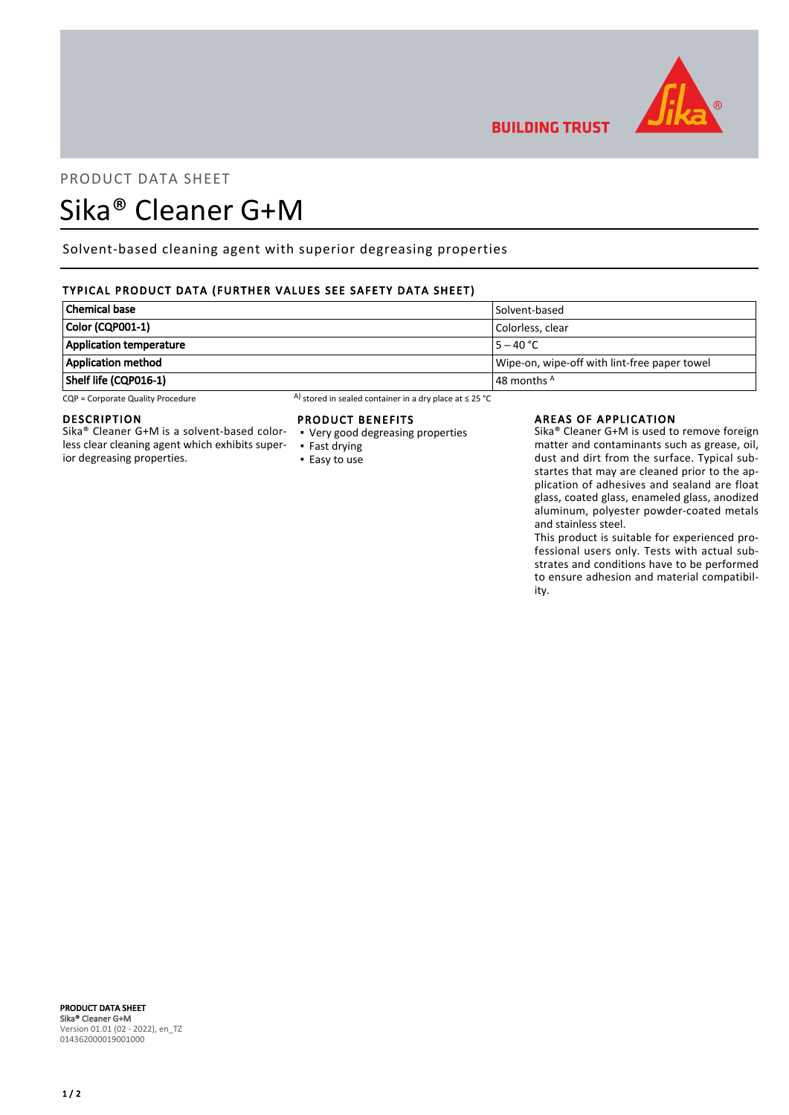

# PRODUCT DATA SHEET

# Sika® Cleaner G+M

Solvent-based cleaning agent with superior degreasing properties

# TYPICAL PRODUCT DATA (FURTHER VALUES SEE SAFETY DATA SHEET)

| Chemical base                  | Solvent-based                                |
|--------------------------------|----------------------------------------------|
| Color (CQP001-1)               | Colorless. clear                             |
| <b>Application temperature</b> | $15 - 40 °C$                                 |
| Application method             | Wipe-on, wipe-off with lint-free paper towel |
| Shelf life (CQP016-1)          | $\vert$ 48 months $^{\mathsf{A}}$            |

CQP = Corporate Quality Procedure A) stored in sealed container in a dry place at ≤ 25 °C

## DESCRIPTION

Sika® Cleaner G+M is a solvent-based colorless clear cleaning agent which exhibits superior degreasing properties.

#### PRODUCT BENEFITS

- Very good degreasing properties
- Fast drying ■ Easy to use

#### AREAS OF APPLICATION

**BUILDING TRUST** 

Sika® Cleaner G+M is used to remove foreign matter and contaminants such as grease, oil, dust and dirt from the surface. Typical substartes that may are cleaned prior to the application of adhesives and sealand are float glass, coated glass, enameled glass, anodized aluminum, polyester powder-coated metals and stainless steel.

This product is suitable for experienced professional users only. Tests with actual substrates and conditions have to be performed to ensure adhesion and material compatibility.

#### PRODUCT DATA SHEET Sika® Cleaner G+M Version 01.01 (02 - 2022), en\_TZ 014362000019001000